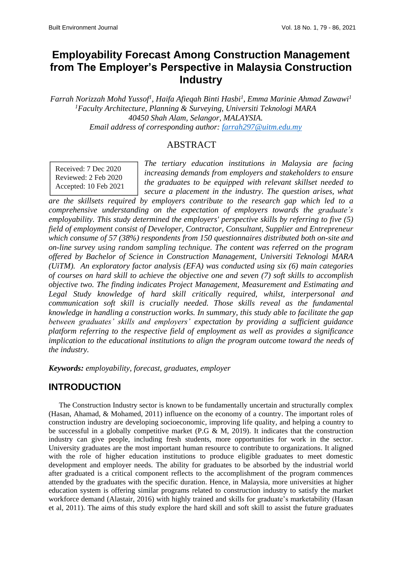# **Employability Forecast Among Construction Management from The Employer's Perspective in Malaysia Construction Industry**

*Farrah Norizzah Mohd Yussof<sup>1</sup> , Haifa Afieqah Binti Hasbi<sup>1</sup> , Emma Marinie Ahmad Zawawi<sup>1</sup> <sup>1</sup>Faculty Architecture, Planning & Surveying, Universiti Teknologi MARA 40450 Shah Alam, Selangor, MALAYSIA. Email address of corresponding author: [farrah297@uitm.edu.my](mailto:farrah297@uitm.edu.my)*

### ABSTRACT

Received: 7 Dec 2020 Reviewed: 2 Feb 2020 Accepted: 10 Feb 2021

*The tertiary education institutions in Malaysia are facing increasing demands from employers and stakeholders to ensure the graduates to be equipped with relevant skillset needed to secure a placement in the industry. The question arises, what* 

*are the skillsets required by employers contribute to the research gap which led to a comprehensive understanding on the expectation of employers towards the graduate's employability. This study determined the employers' perspective skills by referring to five (5) field of employment consist of Developer, Contractor, Consultant, Supplier and Entrepreneur which consume of 57 (38%) respondents from 150 questionnaires distributed both on-site and on-line survey using random sampling technique. The content was referred on the program offered by Bachelor of Science in Construction Management, Universiti Teknologi MARA (UiTM). An exploratory factor analysis (EFA) was conducted using six (6) main categories of courses on hard skill to achieve the objective one and seven (7) soft skills to accomplish objective two. The finding indicates Project Management, Measurement and Estimating and Legal Study knowledge of hard skill critically required, whilst, interpersonal and communication soft skill is crucially needed. Those skills reveal as the fundamental knowledge in handling a construction works. In summary, this study able to facilitate the gap between graduates' skills and employers' expectation by providing a sufficient guidance platform referring to the respective field of employment as well as provides a significance implication to the educational institutions to align the program outcome toward the needs of the industry.*

*Keywords: employability, forecast, graduates, employer*

# **INTRODUCTION**

The Construction Industry sector is known to be fundamentally uncertain and structurally complex (Hasan, Ahamad, & Mohamed, 2011) influence on the economy of a country. The important roles of construction industry are developing socioeconomic, improving life quality, and helping a country to be successful in a globally competitive market (P.G & M, 2019). It indicates that the construction industry can give people, including fresh students, more opportunities for work in the sector. University graduates are the most important human resource to contribute to organizations. It aligned with the role of higher education institutions to produce eligible graduates to meet domestic development and employer needs. The ability for graduates to be absorbed by the industrial world after graduated is a critical component reflects to the accomplishment of the program commences attended by the graduates with the specific duration. Hence, in Malaysia, more universities at higher education system is offering similar programs related to construction industry to satisfy the market workforce demand (Alastair, 2016) with highly trained and skills for graduate's marketability (Hasan et al, 2011). The aims of this study explore the hard skill and soft skill to assist the future graduates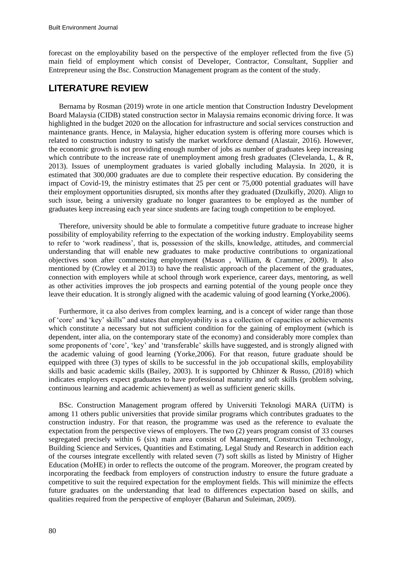forecast on the employability based on the perspective of the employer reflected from the five (5) main field of employment which consist of Developer, Contractor, Consultant, Supplier and Entrepreneur using the Bsc. Construction Management program as the content of the study.

### **LITERATURE REVIEW**

Bernama by Rosman (2019) wrote in one article mention that Construction Industry Development Board Malaysia (CIDB) stated construction sector in Malaysia remains economic driving force. It was highlighted in the budget 2020 on the allocation for infrastructure and social services construction and maintenance grants. Hence, in Malaysia, higher education system is offering more courses which is related to construction industry to satisfy the market workforce demand (Alastair, 2016). However, the economic growth is not providing enough number of jobs as number of graduates keep increasing which contribute to the increase rate of unemployment among fresh graduates (Clevelanda, L,  $\&$  R, 2013). Issues of unemployment graduates is varied globally including Malaysia. In 2020, it is estimated that 300,000 graduates are due to complete their respective education. By considering the impact of Covid-19, the ministry estimates that 25 per cent or 75,000 potential graduates will have their employment opportunities disrupted, six months after they graduated (Dzulkifly, 2020). Align to such issue, being a university graduate no longer guarantees to be employed as the number of graduates keep increasing each year since students are facing tough competition to be employed.

Therefore, university should be able to formulate a competitive future graduate to increase higher possibility of employability referring to the expectation of the working industry. Employability seems to refer to 'work readiness', that is, possession of the skills, knowledge, attitudes, and commercial understanding that will enable new graduates to make productive contributions to organizational objectives soon after commencing employment (Mason , William, & Crammer, 2009). It also mentioned by (Crowley et al 2013) to have the realistic approach of the placement of the graduates, connection with employers while at school through work experience, career days, mentoring, as well as other activities improves the job prospects and earning potential of the young people once they leave their education. It is strongly aligned with the academic valuing of good learning (Yorke,2006).

Furthermore, it ca also derives from complex learning, and is a concept of wider range than those of 'core' and 'key' skills" and states that employability is as a collection of capacities or achievements which constitute a necessary but not sufficient condition for the gaining of employment (which is dependent, inter alia, on the contemporary state of the economy) and considerably more complex than some proponents of 'core', 'key' and 'transferable' skills have suggested, and is strongly aligned with the academic valuing of good learning (Yorke,2006). For that reason, future graduate should be equipped with three (3) types of skills to be successful in the job occupational skills, employability skills and basic academic skills (Bailey, 2003). It is supported by Chhinzer & Russo, (2018) which indicates employers expect graduates to have professional maturity and soft skills (problem solving, continuous learning and academic achievement) as well as sufficient generic skills.

BSc. Construction Management program offered by Universiti Teknologi MARA (UiTM) is among 11 others public universities that provide similar programs which contributes graduates to the construction industry. For that reason, the programme was used as the reference to evaluate the expectation from the perspective views of employers. The two (2) years program consist of 33 courses segregated precisely within 6 (six) main area consist of Management, Construction Technology, Building Science and Services, Quantities and Estimating, Legal Study and Research in addition each of the courses integrate excellently with related seven (7) soft skills as listed by Ministry of Higher Education (MoHE) in order to reflects the outcome of the program. Moreover, the program created by incorporating the feedback from employers of construction industry to ensure the future graduate a competitive to suit the required expectation for the employment fields. This will minimize the effects future graduates on the understanding that lead to differences expectation based on skills, and qualities required from the perspective of employer (Baharun and Suleiman, 2009).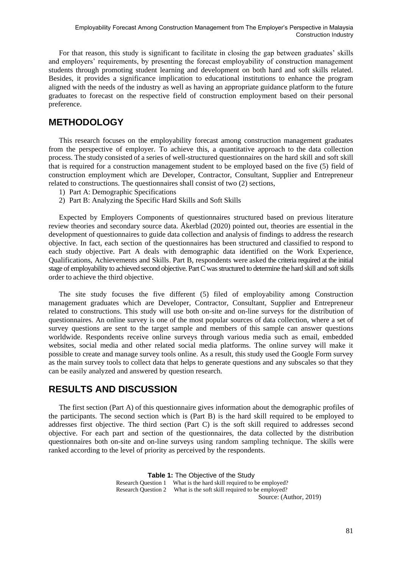For that reason, this study is significant to facilitate in closing the gap between graduates' skills and employers' requirements, by presenting the forecast employability of construction management students through promoting student learning and development on both hard and soft skills related. Besides, it provides a significance implication to educational institutions to enhance the program aligned with the needs of the industry as well as having an appropriate guidance platform to the future graduates to forecast on the respective field of construction employment based on their personal preference.

### **METHODOLOGY**

This research focuses on the employability forecast among construction management graduates from the perspective of employer. To achieve this, a quantitative approach to the data collection process. The study consisted of a series of well-structured questionnaires on the hard skill and soft skill that is required for a construction management student to be employed based on the five (5) field of construction employment which are Developer, Contractor, Consultant, Supplier and Entrepreneur related to constructions. The questionnaires shall consist of two (2) sections,

- 1) Part A: Demographic Specifications
- 2) Part B: Analyzing the Specific Hard Skills and Soft Skills

Expected by Employers Components of questionnaires structured based on previous literature review theories and secondary source data. Åkerblad (2020) pointed out, theories are essential in the development of questionnaires to guide data collection and analysis of findings to address the research objective. In fact, each section of the questionnaires has been structured and classified to respond to each study objective. Part A deals with demographic data identified on the Work Experience, Qualifications, Achievements and Skills. Part B, respondents were asked the criteria required at the initial stage of employability to achieved second objective. Part C was structured to determine the hard skill and soft skills order to achieve the third objective.

The site study focuses the five different (5) filed of employability among Construction management graduates which are Developer, Contractor, Consultant, Supplier and Entrepreneur related to constructions. This study will use both on-site and on-line surveys for the distribution of questionnaires. An online survey is one of the most popular sources of data collection, where a set of survey questions are sent to the target sample and members of this sample can answer questions worldwide. Respondents receive online surveys through various media such as email, embedded websites, social media and other related social media platforms. The online survey will make it possible to create and manage survey tools online. As a result, this study used the Google Form survey as the main survey tools to collect data that helps to generate questions and any subscales so that they can be easily analyzed and answered by question research.

### **RESULTS AND DISCUSSION**

The first section (Part A) of this questionnaire gives information about the demographic profiles of the participants. The second section which is (Part B) is the hard skill required to be employed to addresses first objective. The third section (Part C) is the soft skill required to addresses second objective. For each part and section of the questionnaires, the data collected by the distribution questionnaires both on-site and on-line surveys using random sampling technique. The skills were ranked according to the level of priority as perceived by the respondents.

> **Table 1:** The Objective of the Study Research Question 1 What is the hard skill required to be employed? Research Question 2 What is the soft skill required to be employed? Source: (Author, 2019)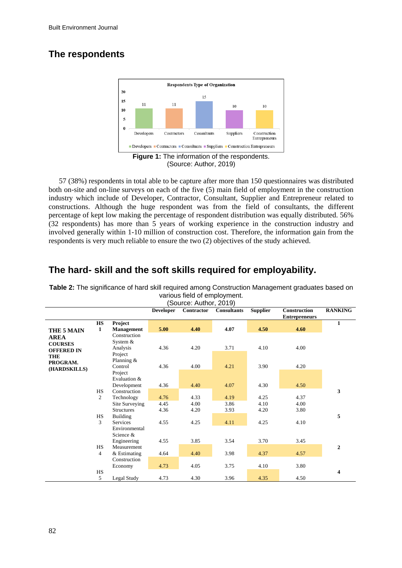# **The respondents**



57 (38%) respondents in total able to be capture after more than 150 questionnaires was distributed both on-site and on-line surveys on each of the five (5) main field of employment in the construction industry which include of Developer, Contractor, Consultant, Supplier and Entrepreneur related to constructions. Although the huge respondent was from the field of consultants, the different percentage of kept low making the percentage of respondent distribution was equally distributed. 56% (32 respondents) has more than 5 years of working experience in the construction industry and involved generally within 1-10 million of construction cost. Therefore, the information gain from the respondents is very much reliable to ensure the two (2) objectives of the study achieved.

**Table 2:** The significance of hard skill required among Construction Management graduates based on various field of employment.

|                   | Source: Author, 2019) |                             |                  |            |                    |                 |                                      |                |  |  |
|-------------------|-----------------------|-----------------------------|------------------|------------|--------------------|-----------------|--------------------------------------|----------------|--|--|
|                   |                       |                             | <b>Developer</b> | Contractor | <b>Consultants</b> | <b>Supplier</b> | Construction<br><b>Entrepreneurs</b> | <b>RANKING</b> |  |  |
|                   | <b>HS</b>             | Project                     |                  |            |                    |                 |                                      | 1              |  |  |
| THE 5 MAIN        | $\mathbf{1}$          | <b>Management</b>           | 5.00             | 4.40       | 4.07               | 4.50            | 4.60                                 |                |  |  |
| <b>AREA</b>       |                       | Construction                |                  |            |                    |                 |                                      |                |  |  |
| <b>COURSES</b>    |                       | System $&$                  |                  |            |                    |                 |                                      |                |  |  |
| <b>OFFERED IN</b> |                       | Analysis                    | 4.36             | 4.20       | 3.71               | 4.10            | 4.00                                 |                |  |  |
| <b>THE</b>        |                       | Project                     |                  |            |                    |                 |                                      |                |  |  |
| PROGRAM.          |                       | Planning &                  |                  |            |                    |                 |                                      |                |  |  |
| (HARDSKILLS)      |                       | Control                     | 4.36             | 4.00       | 4.21               | 3.90            | 4.20                                 |                |  |  |
|                   |                       | Project                     |                  |            |                    |                 |                                      |                |  |  |
|                   |                       | Evaluation &<br>Development | 4.36             | 4.40       | 4.07               | 4.30            | 4.50                                 |                |  |  |
|                   | <b>HS</b>             | Construction                |                  |            |                    |                 |                                      | 3              |  |  |
|                   | $\overline{2}$        | Technology                  | 4.76             | 4.33       | 4.19               | 4.25            | 4.37                                 |                |  |  |
|                   |                       | Site Surveying              | 4.45             | 4.00       | 3.86               | 4.10            | 4.00                                 |                |  |  |
|                   |                       | <b>Structures</b>           | 4.36             | 4.20       | 3.93               | 4.20            | 3.80                                 |                |  |  |
|                   | <b>HS</b>             | Building                    |                  |            |                    |                 |                                      | 5              |  |  |
|                   | 3                     | <b>Services</b>             | 4.55             | 4.25       | 4.11               | 4.25            | 4.10                                 |                |  |  |
|                   |                       | Environmental               |                  |            |                    |                 |                                      |                |  |  |
|                   |                       | Science &                   |                  |            |                    |                 |                                      |                |  |  |
|                   |                       | Engineering                 | 4.55             | 3.85       | 3.54               | 3.70            | 3.45                                 |                |  |  |
|                   | <b>HS</b>             | Measurement                 |                  |            |                    |                 |                                      | $\mathbf{2}$   |  |  |
|                   | 4                     | & Estimating                | 4.64             | 4.40       | 3.98               | 4.37            | 4.57                                 |                |  |  |
|                   |                       | Construction                |                  |            |                    |                 |                                      |                |  |  |
|                   |                       | Economy                     | 4.73             | 4.05       | 3.75               | 4.10            | 3.80                                 |                |  |  |
|                   | <b>HS</b>             |                             |                  |            |                    |                 |                                      | 4              |  |  |
|                   | 5                     | Legal Study                 | 4.73             | 4.30       | 3.96               | 4.35            | 4.50                                 |                |  |  |

## **The hard- skill and the soft skills required for employability.**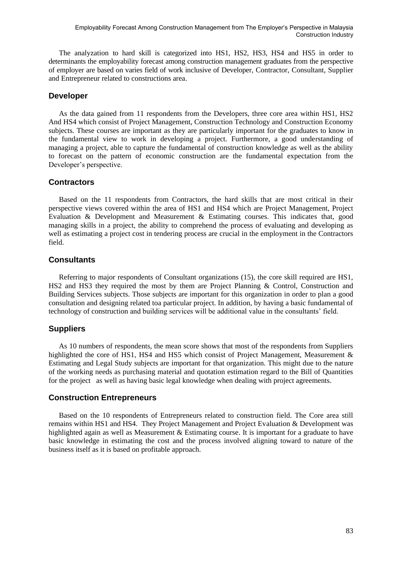The analyzation to hard skill is categorized into HS1, HS2, HS3, HS4 and HS5 in order to determinants the employability forecast among construction management graduates from the perspective of employer are based on varies field of work inclusive of Developer, Contractor, Consultant, Supplier and Entrepreneur related to constructions area.

#### **Developer**

As the data gained from 11 respondents from the Developers, three core area within HS1, HS2 And HS4 which consist of Project Management, Construction Technology and Construction Economy subjects. These courses are important as they are particularly important for the graduates to know in the fundamental view to work in developing a project. Furthermore, a good understanding of managing a project, able to capture the fundamental of construction knowledge as well as the ability to forecast on the pattern of economic construction are the fundamental expectation from the Developer's perspective.

#### **Contractors**

Based on the 11 respondents from Contractors, the hard skills that are most critical in their perspective views covered within the area of HS1 and HS4 which are Project Management, Project Evaluation & Development and Measurement & Estimating courses. This indicates that, good managing skills in a project, the ability to comprehend the process of evaluating and developing as well as estimating a project cost in tendering process are crucial in the employment in the Contractors field.

#### **Consultants**

Referring to major respondents of Consultant organizations (15), the core skill required are HS1, HS2 and HS3 they required the most by them are Project Planning & Control, Construction and Building Services subjects. Those subjects are important for this organization in order to plan a good consultation and designing related toa particular project. In addition, by having a basic fundamental of technology of construction and building services will be additional value in the consultants' field.

#### **Suppliers**

As 10 numbers of respondents, the mean score shows that most of the respondents from Suppliers highlighted the core of HS1, HS4 and HS5 which consist of Project Management, Measurement & Estimating and Legal Study subjects are important for that organization. This might due to the nature of the working needs as purchasing material and quotation estimation regard to the Bill of Quantities for the project as well as having basic legal knowledge when dealing with project agreements.

#### **Construction Entrepreneurs**

Based on the 10 respondents of Entrepreneurs related to construction field. The Core area still remains within HS1 and HS4. They Project Management and Project Evaluation & Development was highlighted again as well as Measurement & Estimating course. It is important for a graduate to have basic knowledge in estimating the cost and the process involved aligning toward to nature of the business itself as it is based on profitable approach.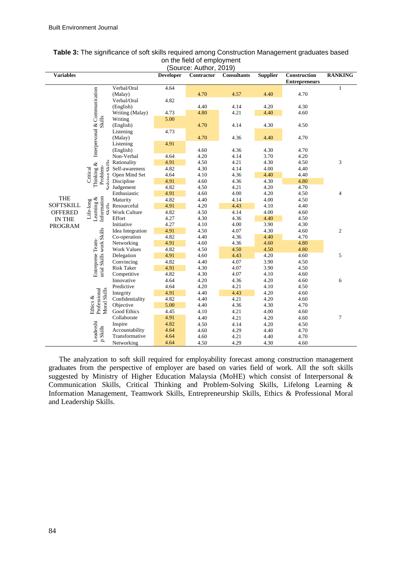| <b>Variables</b>               |                                                                                                                |                    | <b>Developer</b> | (000000, 70000, 2010)<br>Contractor | <b>Consultants</b> | <b>Supplier</b> | <b>Construction</b><br><b>Entrepreneurs</b> | <b>RANKING</b> |
|--------------------------------|----------------------------------------------------------------------------------------------------------------|--------------------|------------------|-------------------------------------|--------------------|-----------------|---------------------------------------------|----------------|
|                                |                                                                                                                | Verbal/Oral        | 4.64             |                                     |                    |                 |                                             | 1              |
|                                | Interpersonal & Communication<br>Skills                                                                        | (Malay)            |                  | 4.70                                | 4.57               | 4.40            | 4.70                                        |                |
|                                |                                                                                                                | Verbal/Oral        | 4.82             |                                     |                    |                 |                                             |                |
|                                |                                                                                                                | (English)          |                  | 4.40                                | 4.14               | 4.20            | 4.30                                        |                |
|                                |                                                                                                                | Writing (Malay)    | 4.73             | 4.80                                | 4.21               | 4.40            | 4.60                                        |                |
|                                |                                                                                                                | Writing            | 5.00             |                                     |                    |                 |                                             |                |
|                                |                                                                                                                | (English)          |                  | 4.70                                | 4.14               | 4.30            | 4.50                                        |                |
|                                |                                                                                                                | Listening          | 4.73             |                                     |                    |                 |                                             |                |
|                                |                                                                                                                | (Malay)            |                  | 4.70                                | 4.36               | 4.40            | 4.70                                        |                |
|                                |                                                                                                                | Listening          | 4.91             |                                     |                    |                 |                                             |                |
|                                |                                                                                                                | (English)          |                  | 4.60                                | 4.36               | 4.30            | 4.70                                        |                |
|                                |                                                                                                                | Non-Verbal         | 4.64             | 4.20                                | 4.14               | 3.70            | 4.20                                        |                |
|                                | $QV_1H_2$<br>Thinking &<br>Problem-                                                                            | Rationality        | 4.91             | 4.50                                | 4.21               | 4.30            | 4.50                                        | 3              |
|                                |                                                                                                                | Self-awareness     | 4.82             | 4.30                                | 4.14               | 4.00            | 4.40                                        |                |
|                                | Critical                                                                                                       | Open Mind Set      | 4.64             | 4.10                                | 4.36               | 4.40            | 4.40                                        |                |
|                                | Solving                                                                                                        | Discipline         | 4.91             | 4.60                                | 4.36               | 4.30            | 4.80                                        |                |
|                                |                                                                                                                | Judgement          | 4.82             | 4.50                                | 4.21               | 4.20            | 4.70                                        |                |
|                                | Information<br>Life-long<br>Learning $\&$<br>$\overline{\text{C}}$ $\overline{\text{C}}$ $\overline{\text{C}}$ | Enthusiastic       | 4.91             | 4.60                                | 4.00               | 4.20            | 4.50                                        | $\overline{4}$ |
| <b>THE</b><br><b>SOFTSKILL</b> |                                                                                                                | Maturity           | 4.82             | 4.40                                | 4.14               | 4.00            | 4.50                                        |                |
|                                |                                                                                                                | Resourceful        | 4.91             | 4.20                                | 4.43               | 4.10            | 4.40                                        |                |
| <b>OFFERED</b>                 |                                                                                                                | Work Culture       | 4.82             | 4.50                                | 4.14               | 4.00            | 4.60                                        |                |
| IN THE                         |                                                                                                                | Effort             | 4.27             | 4.30                                | 4.36               | 4.40            | 4.50                                        |                |
| <b>PROGRAM</b>                 |                                                                                                                | Initiative         | 4.27             | 4.10                                | 4.00               | 3.90            | 4.30                                        |                |
|                                |                                                                                                                | Idea Integration   | 4.91             | 4.50                                | 4.07               | 4.30            | 4.60                                        | $\overline{c}$ |
|                                |                                                                                                                | Co-operation       | 4.82             | 4.40                                | 4.36               | 4.40            | 4.70                                        |                |
|                                |                                                                                                                | Networking         | 4.91             | 4.60                                | 4.36               | 4.60            | 4.80                                        |                |
|                                | urial Skills work Skills<br>Entreprene Team-                                                                   | <b>Work Values</b> | 4.82             | 4.50                                | 4.50               | 4.50            | 4.80                                        |                |
|                                |                                                                                                                | Delegation         | 4.91             | 4.60                                | 4.43               | 4.20            | 4.60                                        | $\sqrt{5}$     |
|                                |                                                                                                                | Convincing         | 4.82             | 4.40                                | 4.07               | 3.90            | 4.50                                        |                |
|                                |                                                                                                                | Risk Taker         | 4.91             | 4.30                                | 4.07               | 3.90            | 4.50                                        |                |
|                                |                                                                                                                | Competitive        | 4.82             | 4.30                                | 4.07               | 4.10            | 4.60                                        |                |
|                                |                                                                                                                | Innovative         | 4.64             | 4.20                                | 4.36               | 4.20            | 4.60                                        | 6              |
|                                | Moral Skills<br>Professional<br>Ethics &                                                                       | Predictive         | 4.64             | 4.20                                | 4.21               | 4.10            | 4.50                                        |                |
|                                |                                                                                                                | Integrity          | 4.91             | 4.40                                | 4.43               | 4.20            | 4.60                                        |                |
|                                |                                                                                                                | Confidentiality    | 4.82             | 4.40                                | 4.21               | 4.20            | 4.60                                        |                |
|                                |                                                                                                                | Objective          | 5.00             | 4.40                                | 4.36               | 4.30            | 4.70                                        |                |
|                                |                                                                                                                | Good Ethics        | 4.45             | 4.10                                | 4.21               | 4.00            | 4.60                                        |                |
|                                |                                                                                                                | Collaborate        | 4.91             | 4.40                                | 4.21               | 4.20            | 4.60                                        | $\tau$         |
|                                |                                                                                                                | Inspire            | 4.82             | 4.50                                | 4.14               | 4.20            | 4.50                                        |                |
|                                | Leadershi<br>p Skills                                                                                          | Accountability     | 4.64             | 4.60                                | 4.29               | 4.40            | 4.70                                        |                |
|                                |                                                                                                                | Transformative     | 4.64             | 4.60                                | 4.21               | 4.40            | 4.70                                        |                |
|                                |                                                                                                                | Networking         | 4.64             | 4.50                                | 4.29               | 4.30            | 4.60                                        |                |

#### **Table 3:** The significance of soft skills required among Construction Management graduates based on the field of employment (Source: Author, 2019)

The analyzation to soft skill required for employability forecast among construction management graduates from the perspective of employer are based on varies field of work. All the soft skills suggested by Ministry of Higher Education Malaysia (MoHE) which consist of Interpersonal & Communication Skills, Critical Thinking and Problem-Solving Skills, Lifelong Learning & Information Management, Teamwork Skills, Entrepreneurship Skills, Ethics & Professional Moral and Leadership Skills.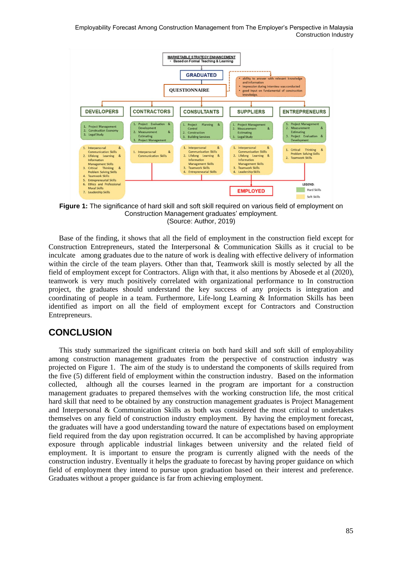Employability Forecast Among Construction Management from The Employer's Perspective in Malaysia Construction Industry



**Figure 1:** The significance of hard skill and soft skill required on various field of employment on Construction Management graduates' employment. (Source: Author, 2019)

Base of the finding, it shows that all the field of employment in the construction field except for Construction Entrepreneurs, stated the Interpersonal & Communication Skills as it crucial to be inculcate among graduates due to the nature of work is dealing with effective delivery of information within the circle of the team players. Other than that, Teamwork skill is mostly selected by all the field of employment except for Contractors. Align with that, it also mentions by Abosede et al (2020), teamwork is very much positively correlated with organizational performance to In construction project, the graduates should understand the key success of any projects is integration and coordinating of people in a team. Furthermore, Life-long Learning & Information Skills has been identified as import on all the field of employment except for Contractors and Construction Entrepreneurs.

### **CONCLUSION**

This study summarized the significant criteria on both hard skill and soft skill of employability among construction management graduates from the perspective of construction industry was projected on Figure 1. The aim of the study is to understand the components of skills required from the five (5) different field of employment within the construction industry. Based on the information collected, although all the courses learned in the program are important for a construction management graduates to prepared themselves with the working construction life, the most critical hard skill that need to be obtained by any construction management graduates is Project Management and Interpersonal & Communication Skills as both was considered the most critical to undertakes themselves on any field of construction industry employment. By having the employment forecast, the graduates will have a good understanding toward the nature of expectations based on employment field required from the day upon registration occurred. It can be accomplished by having appropriate exposure through applicable industrial linkages between university and the related field of employment. It is important to ensure the program is currently aligned with the needs of the construction industry. Eventually it helps the graduate to forecast by having proper guidance on which field of employment they intend to pursue upon graduation based on their interest and preference. Graduates without a proper guidance is far from achieving employment.